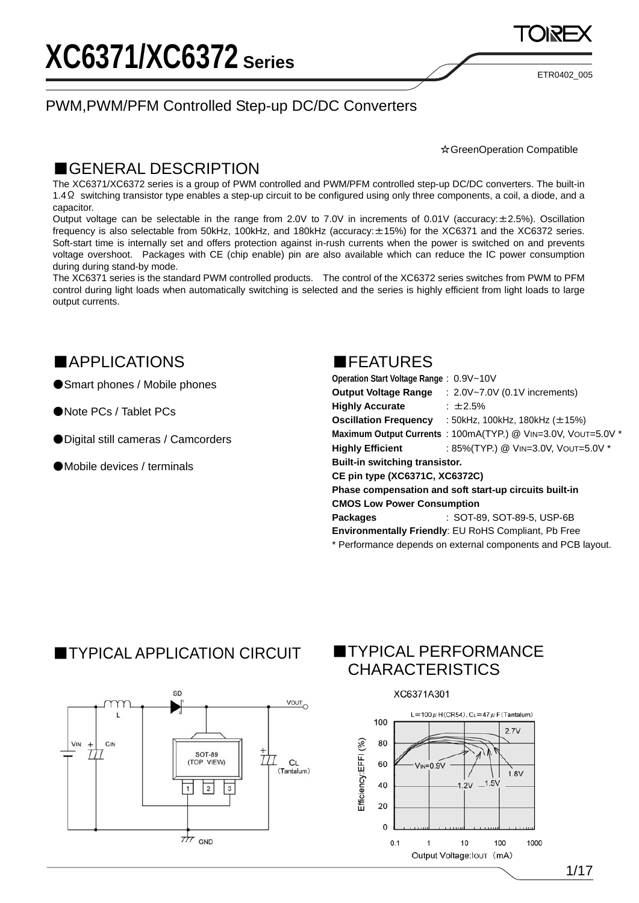## PWM,PWM/PFM Controlled Step-up DC/DC Converters

☆GreenOperation Compatible

ETR0402\_005

### ■GENERAL DESCRIPTION

The XC6371/XC6372 series is a group of PWM controlled and PWM/PFM controlled step-up DC/DC converters. The built-in 1.4Ω switching transistor type enables a step-up circuit to be configured using only three components, a coil, a diode, and a capacitor.

Output voltage can be selectable in the range from 2.0V to 7.0V in increments of 0.01V (accuracy:±2.5%). Oscillation frequency is also selectable from 50kHz, 100kHz, and 180kHz (accuracy:±15%) for the XC6371 and the XC6372 series. Soft-start time is internally set and offers protection against in-rush currents when the power is switched on and prevents voltage overshoot. Packages with CE (chip enable) pin are also available which can reduce the IC power consumption during during stand-by mode.

The XC6371 series is the standard PWM controlled products. The control of the XC6372 series switches from PWM to PFM control during light loads when automatically switching is selected and the series is highly efficient from light loads to large output currents.

## ■APPLICATIONS

- Smart phones / Mobile phones
- ●Note PCs / Tablet PCs
- ●Digital still cameras / Camcorders
- ●Mobile devices / terminals



| Operation Start Voltage Range: 0.9V~10V |                                                              |
|-----------------------------------------|--------------------------------------------------------------|
| <b>Output Voltage Range</b>             | : 2.0V~7.0V (0.1V increments)                                |
| <b>Highly Accurate</b>                  | $\pm 2.5\%$                                                  |
| <b>Oscillation Frequency</b>            | : 50kHz, 100kHz, 180kHz $(\pm 15\%)$                         |
|                                         | Maximum Output Currents: 100mA(TYP.) @ VIN=3.0V, VOUT=5.0V * |
| <b>Highly Efficient</b>                 | : 85%(TYP.) @ VIN=3.0V, VOUT=5.0V *                          |
| Built-in switching transistor.          |                                                              |
| <b>CE pin type (XC6371C, XC6372C)</b>   |                                                              |
|                                         | Phase compensation and soft start-up circuits built-in       |
| <b>CMOS Low Power Consumption</b>       |                                                              |
| <b>Packages</b>                         | : SOT-89. SOT-89-5. USP-6B                                   |
|                                         | <b>Environmentally Friendly: EU RoHS Compliant, Pb Free</b>  |
|                                         | * Performance depends on external components and PCB layout. |
|                                         |                                                              |

### **TYPICAL APPLICATION CIRCUIT**



## **TYPICAL PERFORMANCE** CHARACTERISTICS

XC6371A301

Efficiency:EFFI (%)

#### L = 100  $\mu$  H (CR54). C<sub>L</sub> = 47  $\mu$  F (Tantalum) 100  $27V$ 80 60  $V_{IN} = 0.9V$ 1.8V  $1.5\%$  $1.2V$ 40 20  $\Omega$  $0.1$ 1000  $\overline{1}$  $10$ 100 Output Voltage: lour (mA)

1/17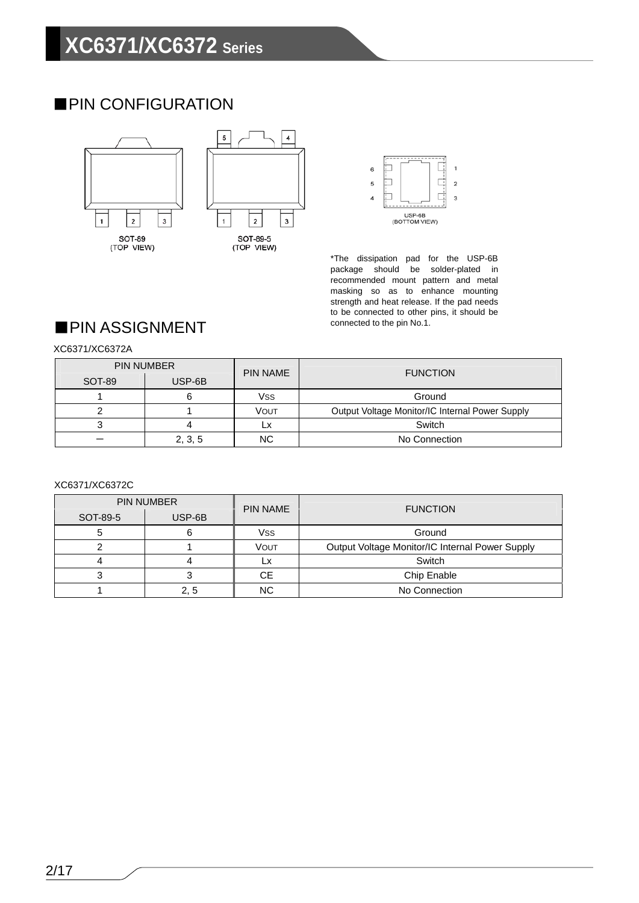# ■PIN CONFIGURATION





\*The dissipation pad for the USP-6B package should be solder-plated in recommended mount pattern and metal masking so as to enhance mounting strength and heat release. If the pad needs to be connected to other pins, it should be connected to the pin No.1.

# ■PIN ASSIGNMENT

### XC6371/XC6372A

|        | <b>PIN NUMBER</b> | <b>PIN NAME</b> | <b>FUNCTION</b>                                 |
|--------|-------------------|-----------------|-------------------------------------------------|
| SOT-89 | USP-6B            |                 |                                                 |
|        |                   | Vss             | Ground                                          |
|        |                   | Vout            | Output Voltage Monitor/IC Internal Power Supply |
|        |                   |                 | Switch                                          |
|        | 2, 3, 5           | ΝC              | No Connection                                   |

XC6371/XC6372C

|          | <b>PIN NUMBER</b> | <b>PIN NAME</b> | <b>FUNCTION</b>                                 |
|----------|-------------------|-----------------|-------------------------------------------------|
| SOT-89-5 | USP-6B            |                 |                                                 |
|          |                   | <b>Vss</b>      | Ground                                          |
|          |                   | VOUT            | Output Voltage Monitor/IC Internal Power Supply |
|          |                   |                 | Switch                                          |
|          |                   | CЕ.             | Chip Enable                                     |
|          | 2. 5              | ΝC              | No Connection                                   |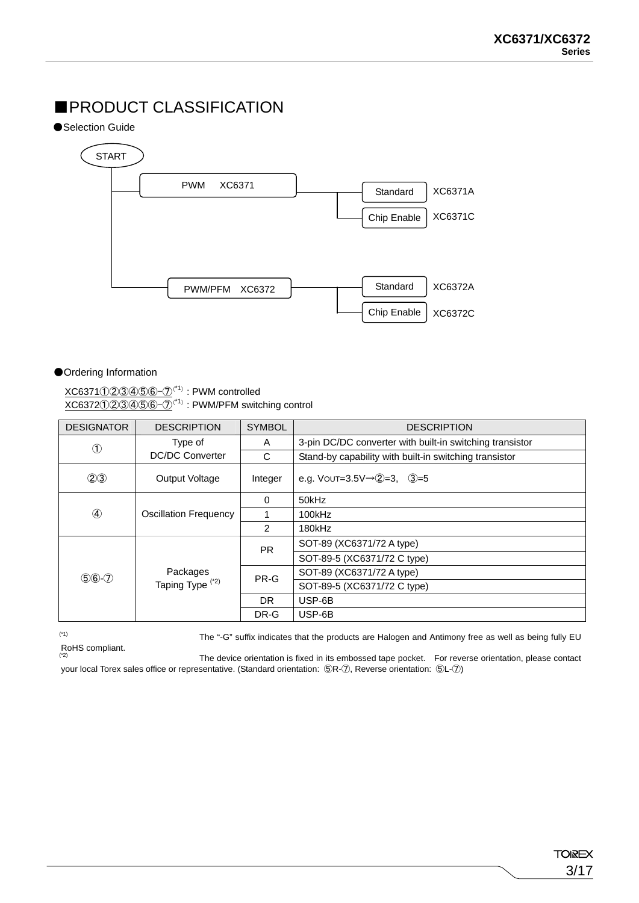## ■PRODUCT CLASSIFICATION

#### ●Selection Guide



#### ●Ordering Information

 $XCG371 \oplus 2 \oplus 3 \oplus 5 \oplus \oplus^{(2)}$  : PWM controlled XC6372①②③④⑤⑥-⑦<sup>(\*1)</sup>: PWM/PFM switching control

| <b>DESIGNATOR</b> | <b>DESCRIPTION</b>                                  | <b>SYMBOL</b> | <b>DESCRIPTION</b>                                       |
|-------------------|-----------------------------------------------------|---------------|----------------------------------------------------------|
| $\circled{1}$     | Type of                                             |               | 3-pin DC/DC converter with built-in switching transistor |
|                   | <b>DC/DC Converter</b>                              | C             | Stand-by capability with built-in switching transistor   |
| (2)3              | Output Voltage                                      | Integer       | e.g. VOUT=3.5V $\rightarrow$ (2)=3, (3)=5                |
|                   |                                                     | 0             | 50kHz                                                    |
| $\circled{4}$     | <b>Oscillation Frequency</b>                        |               | 100kHz                                                   |
|                   |                                                     | $\mathcal{P}$ | 180kHz                                                   |
|                   |                                                     | <b>PR</b>     | SOT-89 (XC6371/72 A type)                                |
|                   |                                                     |               | SOT-89-5 (XC6371/72 C type)                              |
|                   | Packages<br>$56 - 7$<br>Taping Type <sup>(*2)</sup> | PR-G          | SOT-89 (XC6371/72 A type)                                |
|                   |                                                     |               | SOT-89-5 (XC6371/72 C type)                              |
|                   |                                                     | DR.           | USP-6B                                                   |
|                   |                                                     |               | USP-6B                                                   |

(\*1) The "-G" suffix indicates that the products are Halogen and Antimony free as well as being fully EU

RoHS compliant.

The device orientation is fixed in its embossed tape pocket. For reverse orientation, please contact your local Torex sales office or representative. (Standard orientation: ⑤R-⑦, Reverse orientation: ⑤L-⑦)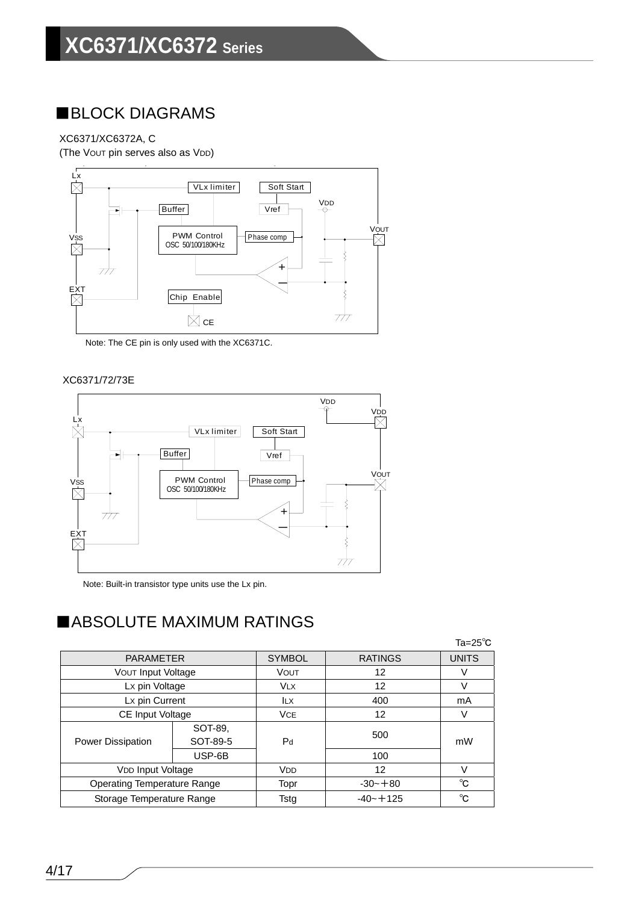## ■BLOCK DIAGRAMS

### XC6371/XC6372A, C

(The Vout pin serves also as V<sub>DD)</sub>



Note: The CE pin is only used with the XC6371C.

XC6371/72/73E



Note: Built-in transistor type units use the Lx pin.

# ■ABSOLUTE MAXIMUM RATINGS

|                                    |                     |               |                | $Ta=25^\circ C$ |
|------------------------------------|---------------------|---------------|----------------|-----------------|
| <b>PARAMETER</b>                   |                     | <b>SYMBOL</b> | <b>RATINGS</b> | <b>UNITS</b>    |
| VOUT Input Voltage                 |                     | <b>VOUT</b>   | 12             | V               |
| Lx pin Voltage                     |                     | <b>VLX</b>    | 12             | V               |
| Lx pin Current                     |                     | <b>ILX</b>    | 400            | mA              |
| CE Input Voltage                   |                     | <b>VCE</b>    | 12             | V               |
| Power Dissipation                  | SOT-89,<br>SOT-89-5 |               | 500            | mW              |
|                                    | USP-6B              |               | 100            |                 |
| V <sub>DD</sub> Input Voltage      |                     | VDD           | 12             | v               |
| <b>Operating Temperature Range</b> |                     | Topr          | $-30 - +80$    | °C              |
| Storage Temperature Range          |                     | Tstg          | $-40 - + 125$  | °C              |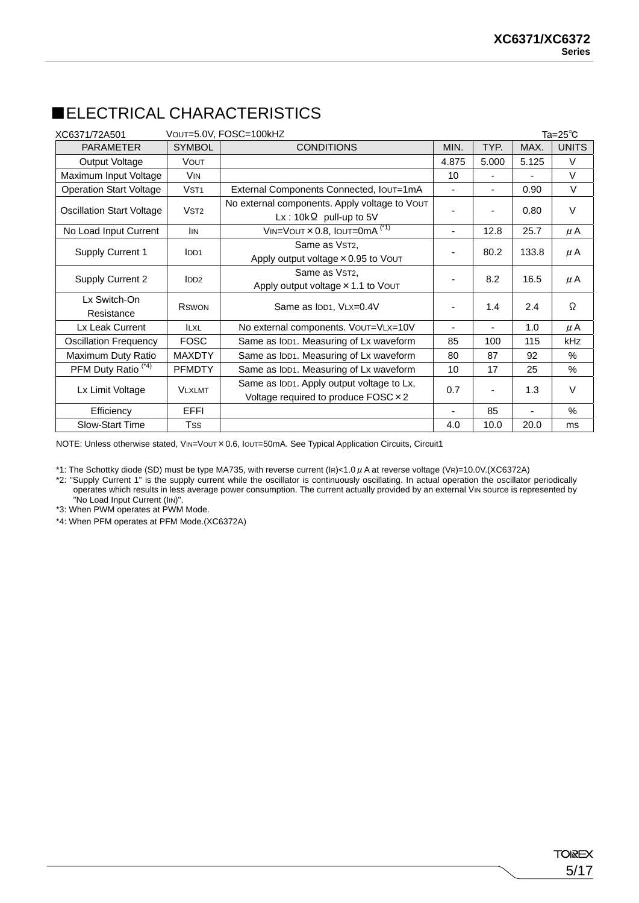# ■ELECTRICAL CHARACTERISTICS

| XC6371/72A501                    |                  | VOUT=5.0V, FOSC=100kHZ                                                                   |                          |                          |                | Ta= $25^{\circ}$ C |
|----------------------------------|------------------|------------------------------------------------------------------------------------------|--------------------------|--------------------------|----------------|--------------------|
| <b>PARAMETER</b>                 | <b>SYMBOL</b>    | <b>CONDITIONS</b>                                                                        | MIN.                     | TYP.                     | MAX.           | <b>UNITS</b>       |
| Output Voltage                   | <b>VOUT</b>      |                                                                                          | 4.875                    | 5.000                    | 5.125          | V                  |
| Maximum Input Voltage            | <b>VIN</b>       |                                                                                          | 10                       |                          |                | $\vee$             |
| <b>Operation Start Voltage</b>   | V <sub>ST1</sub> | External Components Connected, IOUT=1mA                                                  | -                        |                          | 0.90           | V                  |
| <b>Oscillation Start Voltage</b> | V <sub>ST2</sub> | No external components. Apply voltage to VOUT<br>Lx : $10k\Omega$ pull-up to 5V          |                          | $\overline{\phantom{a}}$ | 0.80           | $\vee$             |
| No Load Input Current            | <b>IIN</b>       | VIN=VOUT $\times$ 0.8, IOUT=0mA $(1)$                                                    | ٠                        | 12.8                     | 25.7           | $\mu$ A            |
| Supply Current 1                 | IDD1             | Same as VST2,<br>Apply output voltage × 0.95 to Vout                                     |                          | 80.2                     | 133.8          | μA                 |
| Supply Current 2                 | IDD2             | Same as VST2,<br>Apply output voltage × 1.1 to Vout                                      |                          | 8.2                      | 16.5           | $\mu$ A            |
| Lx Switch-On<br>Resistance       | <b>R</b> swon    | Same as IDD1, VLX=0.4V                                                                   |                          | 1.4                      | 2.4            | Ω                  |
| Lx Leak Current                  | <b>ILXL</b>      | No external components. VOUT=VLX=10V                                                     |                          |                          | 1.0            | $\mu$ A            |
| <b>Oscillation Frequency</b>     | <b>FOSC</b>      | Same as IDD1. Measuring of Lx waveform                                                   | 85                       | 100                      | 115            | kHz                |
| Maximum Duty Ratio               | <b>MAXDTY</b>    | Same as IDD1. Measuring of Lx waveform                                                   | 80                       | 87                       | 92             | $\%$               |
| PFM Duty Ratio <sup>(*4)</sup>   | <b>PFMDTY</b>    | Same as IDD1. Measuring of Lx waveform                                                   | 10                       | 17                       | 25             | $\%$               |
| Lx Limit Voltage                 | <b>VLXLMT</b>    | Same as IDD1. Apply output voltage to Lx,<br>Voltage required to produce $FOSC \times 2$ | 0.7                      | $\blacksquare$           | 1.3            | $\vee$             |
| Efficiency                       | EFFI             |                                                                                          | $\overline{\phantom{0}}$ | 85                       | $\blacksquare$ | $\%$               |
| Slow-Start Time                  | <b>Tss</b>       |                                                                                          | 4.0                      | 10.0                     | 20.0           | ms                 |

NOTE: Unless otherwise stated, VIN=VOUT × 0.6, IOUT=50mA. See Typical Application Circuits, Circuit1

\*1: The Schottky diode (SD) must be type MA735, with reverse current (IR)<1.0μA at reverse voltage (VR)=10.0V.(XC6372A)

\*2: "Supply Current 1" is the supply current while the oscillator is continuously oscillating. In actual operation the oscillator periodically operates which results in less average power consumption. The current actually provided by an external VIN source is represented by "No Load Input Current (IIN)".

\*3: When PWM operates at PWM Mode.

\*4: When PFM operates at PFM Mode.(XC6372A)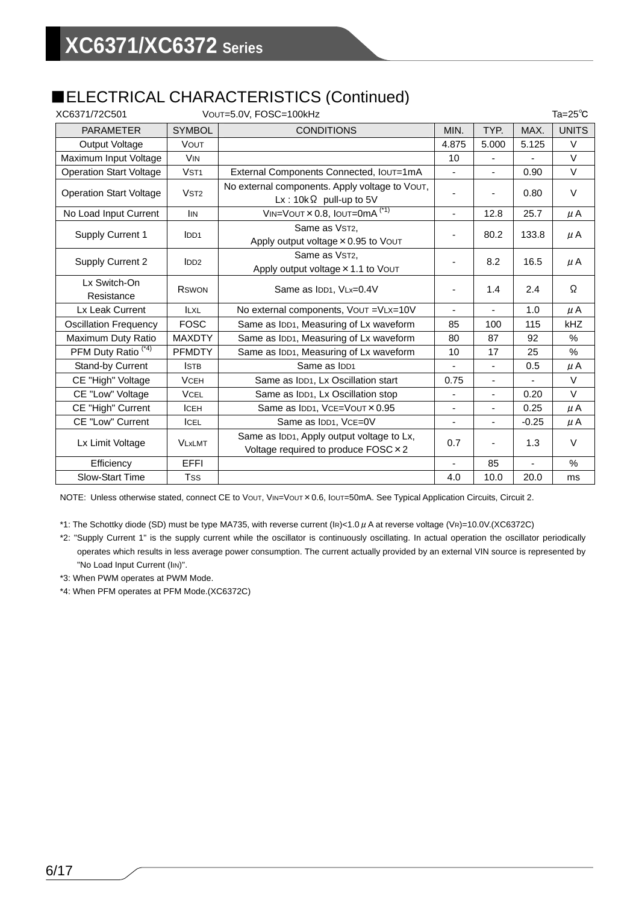# ■ELECTRICAL CHARACTERISTICS (Continued)

| XC6371/72C501                  |                       | VOUT=5.0V, FOSC=100kHz                                                              |                          |                          | Ta= $25^{\circ}$ C |              |  |
|--------------------------------|-----------------------|-------------------------------------------------------------------------------------|--------------------------|--------------------------|--------------------|--------------|--|
| <b>PARAMETER</b>               | <b>SYMBOL</b>         | <b>CONDITIONS</b>                                                                   | MIN.                     | TYP.                     | MAX.               | <b>UNITS</b> |  |
| <b>Output Voltage</b>          | <b>VOUT</b>           |                                                                                     | 4.875                    | 5.000                    | 5.125              | $\vee$       |  |
| Maximum Input Voltage          | <b>V<sub>IN</sub></b> |                                                                                     | 10                       |                          |                    | $\vee$       |  |
| <b>Operation Start Voltage</b> | VST <sub>1</sub>      | External Components Connected, IOUT=1mA                                             |                          |                          | 0.90               | $\vee$       |  |
| <b>Operation Start Voltage</b> | V <sub>ST2</sub>      | No external components. Apply voltage to Vout,<br>$Lx$ : 10k $\Omega$ pull-up to 5V |                          |                          | 0.80               | $\vee$       |  |
| No Load Input Current          | <b>IIN</b>            | $VIN=VOUT \times 0.8$ , $IOUT=OMA^{(1)}$                                            | $\blacksquare$           | 12.8                     | 25.7               | $\mu$ A      |  |
| Supply Current 1               | IDD <sub>1</sub>      | Same as VST2,<br>Apply output voltage × 0.95 to Vout                                | $\blacksquare$           | 80.2                     | 133.8              | μA           |  |
| Supply Current 2               | IDD2                  | Same as VST2,<br>Apply output voltage × 1.1 to Vout                                 |                          | 8.2                      | 16.5               | $\mu$ A      |  |
| Lx Switch-On<br>Resistance     | <b>R</b> swon         | Same as IDD1, VLx=0.4V                                                              | ÷                        | 1.4                      | 2.4                | Ω            |  |
| Lx Leak Current                | <b>ILXL</b>           | No external components, Vout = VLX=10V                                              | $\overline{\phantom{a}}$ |                          | 1.0                | $\mu$ A      |  |
| <b>Oscillation Frequency</b>   | <b>FOSC</b>           | Same as IDD1, Measuring of Lx waveform                                              | 85                       | 100                      | 115                | kHZ          |  |
| Maximum Duty Ratio             | <b>MAXDTY</b>         | Same as IDD1, Measuring of Lx waveform                                              | 80                       | 87                       | 92                 | %            |  |
| PFM Duty Ratio <sup>(*4)</sup> | <b>PFMDTY</b>         | Same as IDD1, Measuring of Lx waveform                                              |                          | 17                       | 25                 | $\%$         |  |
| Stand-by Current               | <b>ISTB</b>           | Same as IDD1                                                                        |                          | ÷,                       | 0.5                | $\mu$ A      |  |
| CE "High" Voltage              | <b>VCEH</b>           | Same as IDD1, Lx Oscillation start                                                  | 0.75                     |                          |                    | $\vee$       |  |
| CE "Low" Voltage               | <b>VCEL</b>           | Same as IDD1, Lx Oscillation stop                                                   |                          |                          | 0.20               | $\vee$       |  |
| CE "High" Current              | <b>ICEH</b>           | Same as IDD1, VCE=VOUT × 0.95                                                       | $\blacksquare$           |                          | 0.25               | $\mu$ A      |  |
| CE "Low" Current               | <b>ICEL</b>           | Same as IDD1, VCE=0V                                                                | $\overline{\phantom{a}}$ | $\overline{\phantom{a}}$ | $-0.25$            | μA           |  |
| Lx Limit Voltage               | <b>VLxLMT</b>         | Same as IDD1, Apply output voltage to Lx,<br>Voltage required to produce FOSC × 2   | 0.7                      | ÷,                       | 1.3                | $\vee$       |  |
| Efficiency                     | <b>EFFI</b>           |                                                                                     | $\blacksquare$           | 85                       | $\blacksquare$     | $\%$         |  |
| <b>Slow-Start Time</b>         | <b>Tss</b>            |                                                                                     | 4.0                      | 10.0                     | 20.0               | ms           |  |

NOTE: Unless otherwise stated, connect CE to Vout, VIN=Vout × 0.6, Iout=50mA. See Typical Application Circuits, Circuit 2.

\*1: The Schottky diode (SD) must be type MA735, with reverse current (IR)<1.0μA at reverse voltage (VR)=10.0V.(XC6372C)

\*2: "Supply Current 1" is the supply current while the oscillator is continuously oscillating. In actual operation the oscillator periodically operates which results in less average power consumption. The current actually provided by an external VIN source is represented by "No Load Input Current (IIN)".

- \*3: When PWM operates at PWM Mode.
- \*4: When PFM operates at PFM Mode.(XC6372C)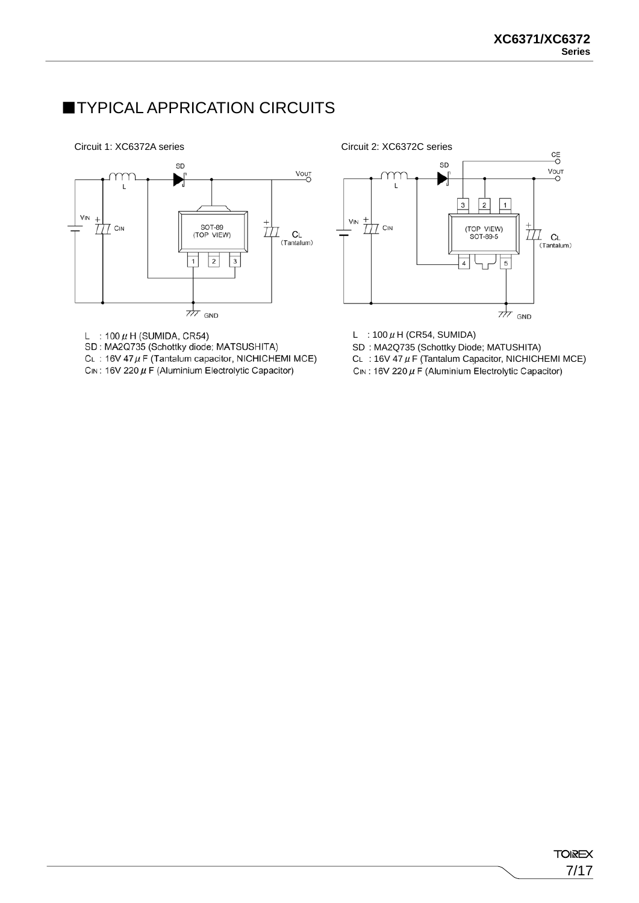## **TYPICAL APPRICATION CIRCUITS**



- L : 100  $\mu$  H (SUMIDA, CR54)  $\qquad \qquad$  L : 100  $\mu$  H (CR54, SUMIDA)
- SD: MA2Q735 (Schottky diode; MATSUSHITA)

CL : 16V 47  $\mu$  F (Tantalum capacitor, NICHICHEMI MCE)<br>CIN: 16V 220  $\mu$  F (Aluminium Electrolytic Capacitor)

 $rac{CE}{2}$  $SD$  $\overset{VOUT}{\circ}$ ▶  $\mathbf{I}$  $\sqrt{3}$  $\overline{\mathbf{2}}$  $\overline{1}$  $\frac{v_{IN} + 1}{\frac{1}{11}}$  CIN  $\frac{+}{L}$ (TOP VIEW)<br>SOT-89-5  $\frac{1}{\sqrt{2}}$  CL<br>(Tantalum)  $\frac{1}{5}$  $\overline{4}$  $\frac{1}{2}$  GND

SD : MA2Q735 (Schottky Diode; MATUSHITA) CL : 16V 47  $\mu$  F (Tantalum Capacitor, NICHICHEMI MCE)

CIN: 16V 220  $\mu$  F (Aluminium Electrolytic Capacitor)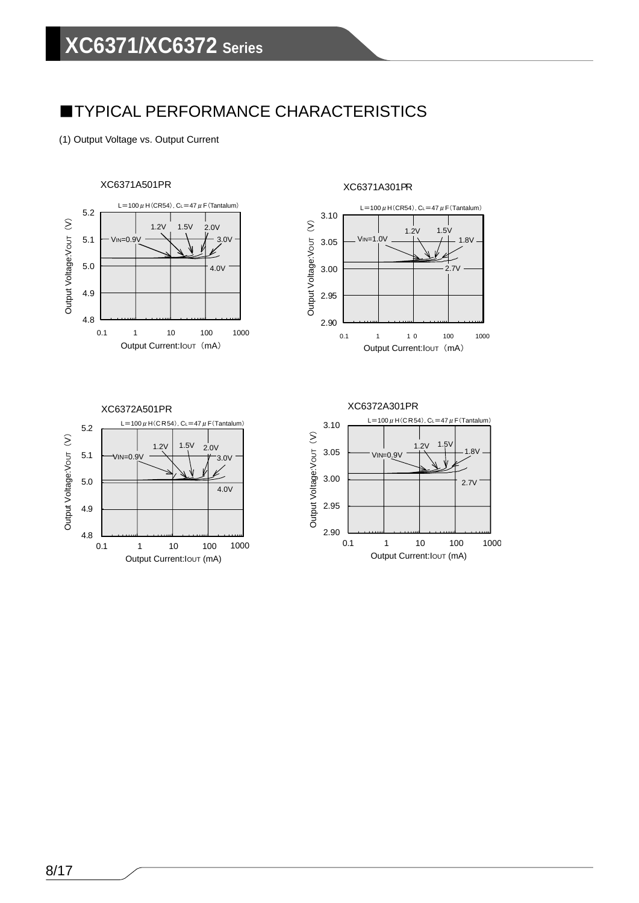## **TYPICAL PERFORMANCE CHARACTERISTICS**

(1) Output Voltage vs. Output Current



XC6371A301PR



XC6372A501PR  $L=100 \mu$  H(CR54), C<sub>L</sub>=47  $\mu$  F(Tantalum) 5.2 Output Voltage: Vour (V) Output Voltage:VOUT(V)  $2.0V$  $1.2\lambda$ 5.1  $\sim$ 3.0V 5.0 4.0V 4.9 4.8 0.1 1 10 100 1000 1000 Output Current:IOUT (mA)

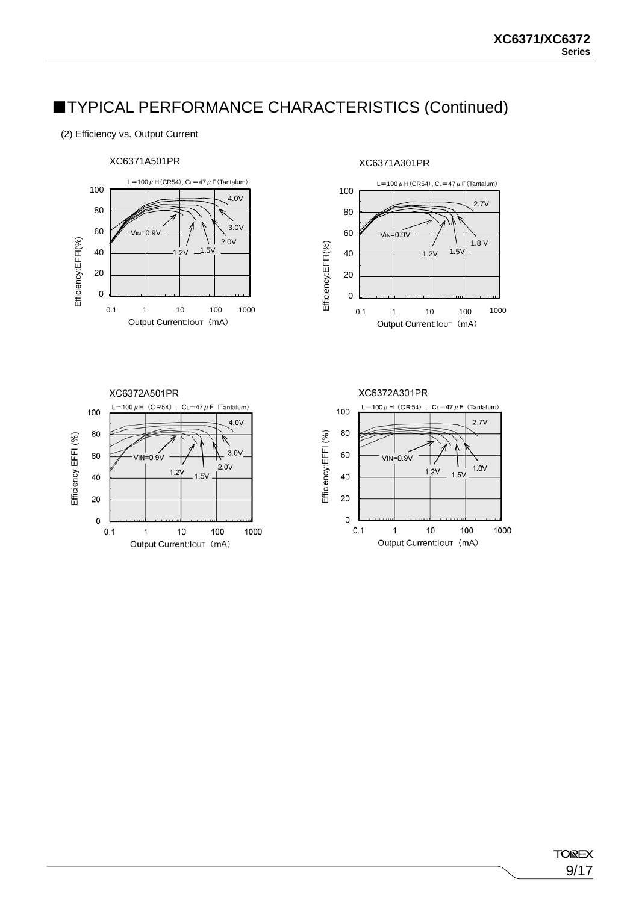#### (2) Efficiency vs. Output Current









### XC6371A301PR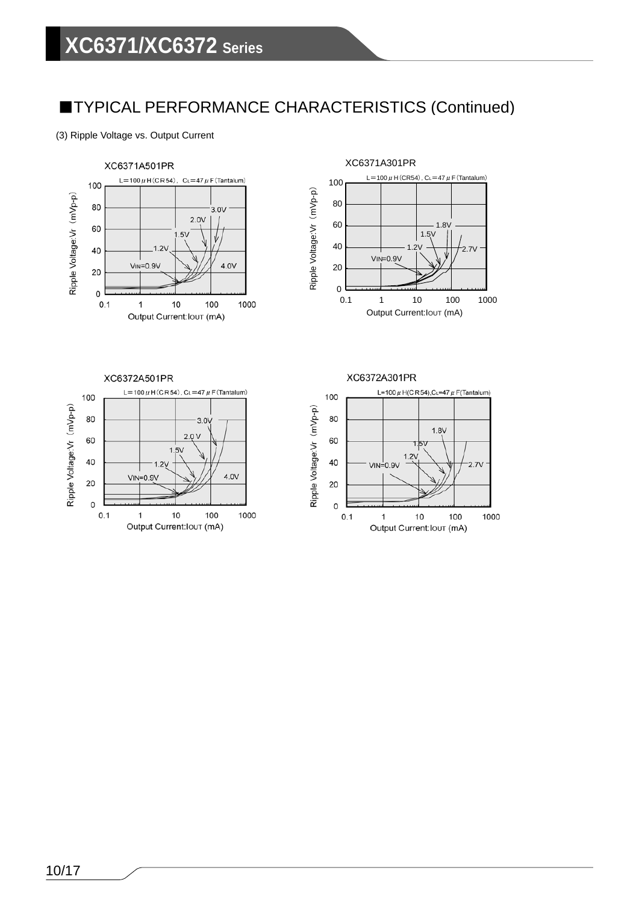#### (3) Ripple Voltage vs. Output Current

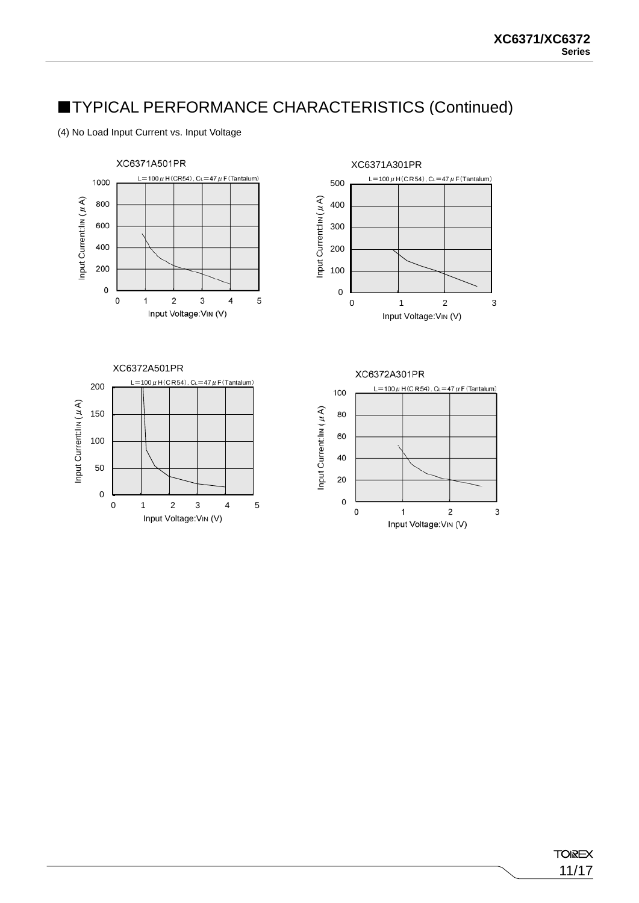#### (4) No Load Input Current vs. Input Voltage

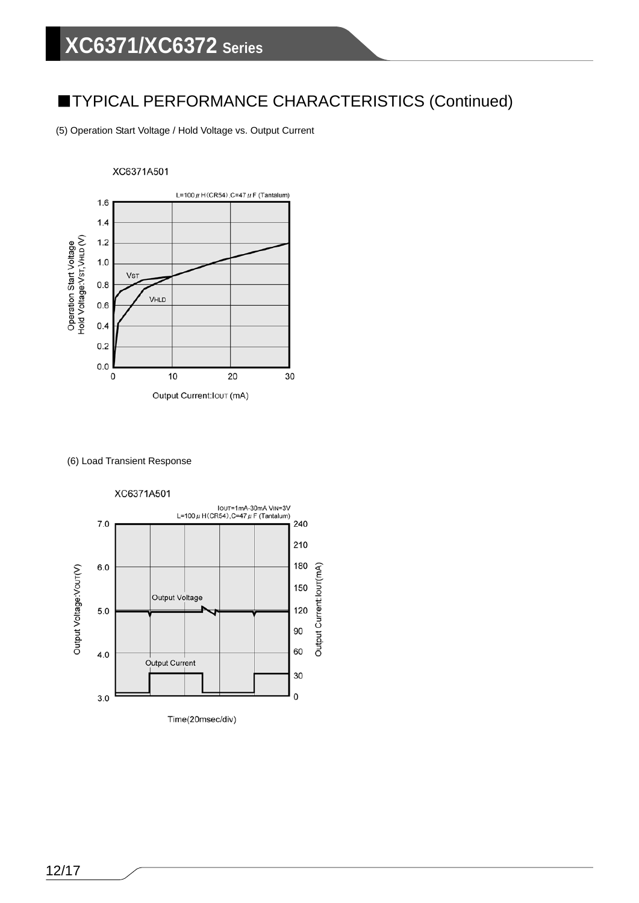(5) Operation Start Voltage / Hold Voltage vs. Output Current

#### XC6371A501



(6) Load Transient Response

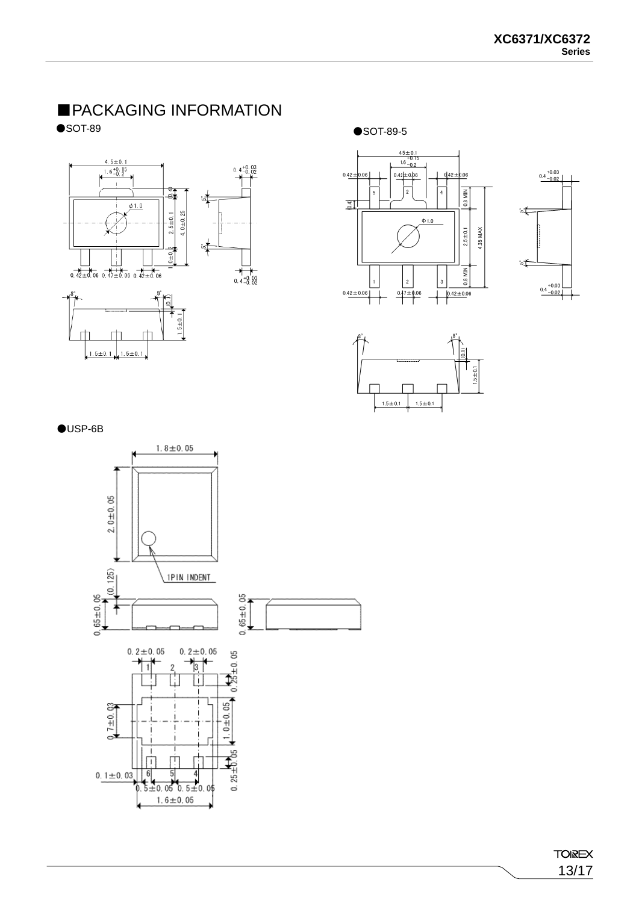# ■PACKAGING INFORMATION



●SOT-89<br>●SOT-89-5







●USP-6B



**TOIREX** 13/17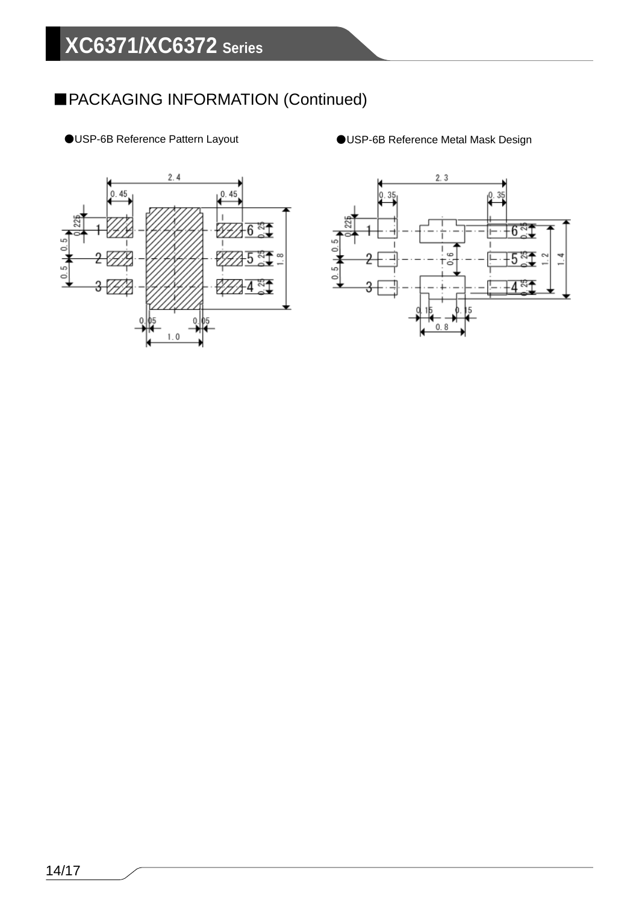# ■PACKAGING INFORMATION (Continued)





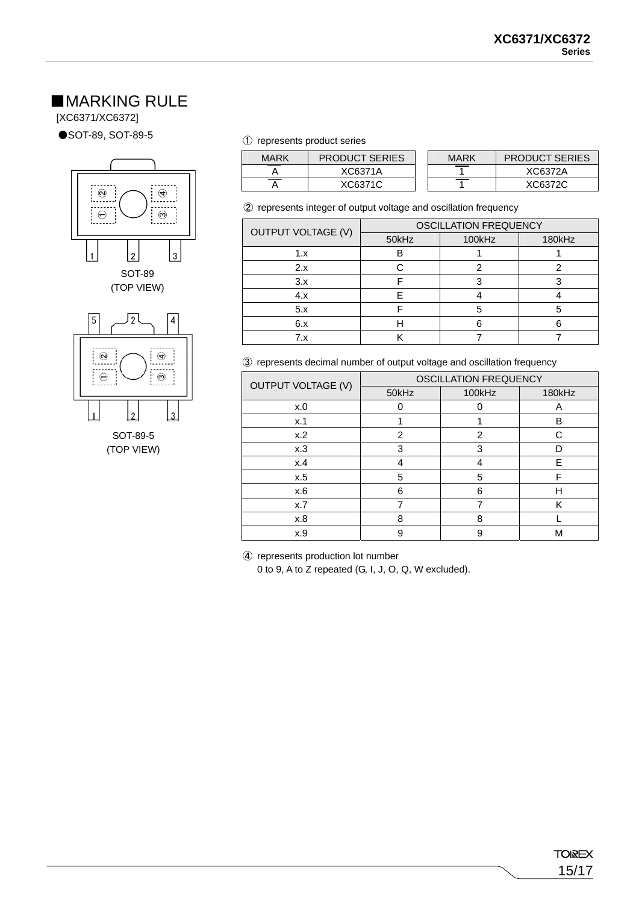### ■**MARKING RULE**

[XC6371/XC6372]





●SOT-89, SOT-89-5 **being the COV** represents product series

| MARK | <b>PRODUCT SERIES</b> | MARK | <b>PRODUCT SERIES</b> |
|------|-----------------------|------|-----------------------|
|      | XC6371A               |      | XC6372A               |
|      | XC6371C               |      | XC6372C               |

② represents integer of output voltage and oscillation frequency

|                     | <b>OUTPUT VOLTAGE (V)</b> | <b>OSCILLATION FREQUENCY</b> |        |        |  |
|---------------------|---------------------------|------------------------------|--------|--------|--|
|                     |                           | 50kHz                        | 100kHz | 180kHz |  |
| $\overline{2}$<br>3 | 1.X                       | в                            |        |        |  |
| <b>SOT-89</b>       | 2.x                       |                              |        |        |  |
| (TOP VIEW)          | 3.x                       |                              |        |        |  |
|                     | 4.x                       |                              |        |        |  |
|                     | 5.x                       |                              |        |        |  |
| 4                   | 6.x                       |                              |        |        |  |
|                     | 7.X                       |                              |        |        |  |

③ represents decimal number of output voltage and oscillation frequency

| $\odot$          | <b>OUTPUT VOLTAGE (V)</b> |       | <b>OSCILLATION FREQUENCY</b> |                |  |  |
|------------------|---------------------------|-------|------------------------------|----------------|--|--|
|                  |                           | 50kHz | 100kHz                       | 180kHz         |  |  |
|                  | x.0                       |       |                              | $\overline{A}$ |  |  |
| 3                | x.1                       |       |                              | B              |  |  |
| SOT-89-5         | x.2                       | 2     | 2                            | C              |  |  |
| <b>TOP VIEW)</b> | x.3                       | 3     | 3                            | D              |  |  |
|                  | x.4                       |       |                              | E              |  |  |
|                  | x.5                       | 5     | 5                            |                |  |  |
|                  | x.6                       | 6     | 6                            | н              |  |  |
|                  | x.7                       |       |                              | ĸ              |  |  |
|                  | x.8                       | 8     | 8                            |                |  |  |
|                  | x.9                       | 9     | 9                            | M              |  |  |

④ represents production lot number

0 to 9, A to Z repeated (G, I, J, O, Q, W excluded).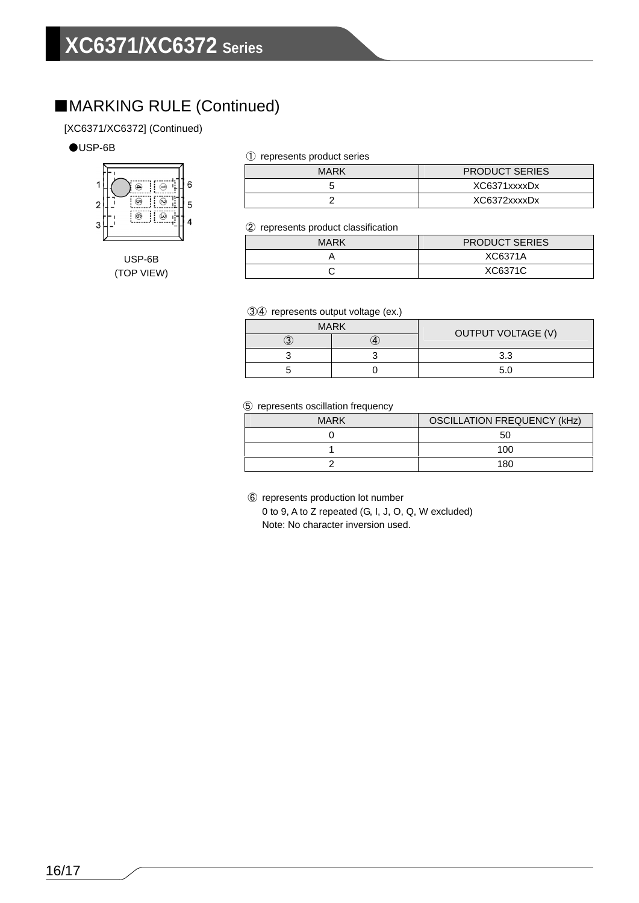# ■MARKING RULE (Continued)

### [XC6371/XC6372] (Continued)

#### ●USP-6B



(TOP VIEW)

|  |  | 1 represents product series |  |
|--|--|-----------------------------|--|
|--|--|-----------------------------|--|

| MARK | <b>PRODUCT SERIES</b> |
|------|-----------------------|
|      | XC6371xxxxDx          |
|      | XC6372xxxxDx          |

#### ② represents product classification

|          | <b>MARK</b> | <b>PRODUCT SERIES</b> |
|----------|-------------|-----------------------|
| USP-6B   |             | XC6371A               |
| OP VIEW) |             | XC6371C               |

#### ③④ represents output voltage (ex.)

| <b>MARK</b> |  |                           |
|-------------|--|---------------------------|
|             |  | <b>OUTPUT VOLTAGE (V)</b> |
|             |  | 3.3                       |
|             |  |                           |

#### ⑤ represents oscillation frequency

| <b>MARK</b> | <b>OSCILLATION FREQUENCY (kHz)</b> |
|-------------|------------------------------------|
|             | 50                                 |
|             | 100                                |
|             | 180                                |

⑥ represents production lot number

 0 to 9, A to Z repeated (G, I, J, O, Q, W excluded) Note: No character inversion used.